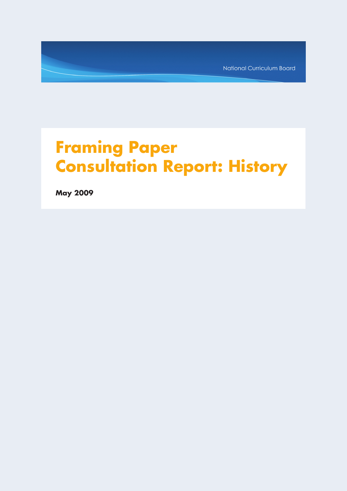National Curriculum Board

# **Framing Paper Consultation Report: History**

**May 2009**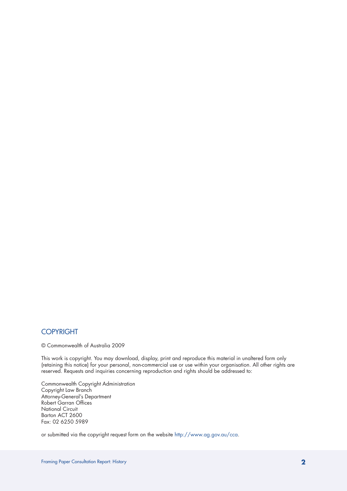# **COPYRIGHT**

© Commonwealth of Australia 2009

This work is copyright. You may download, display, print and reproduce this material in unaltered form only (retaining this notice) for your personal, non-commercial use or use within your organisation. All other rights are reserved. Requests and inquiries concerning reproduction and rights should be addressed to:

Commonwealth Copyright Administration Copyright Law Branch Attorney-General's Department Robert Garran Offices National Circuit Barton ACT 2600 Fax: 02 6250 5989

or submitted via the copyright request form on the website http://www.ag.gov.au/cca.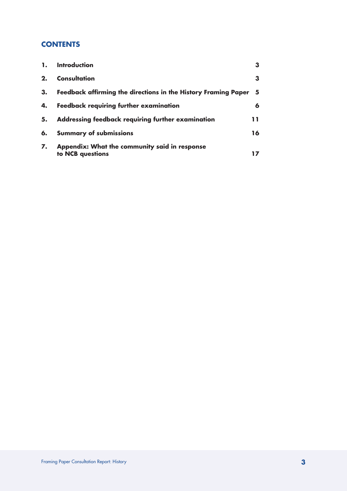# **CONTENTS**

| $\mathbf{1}$ | Introduction                                                      | 3   |
|--------------|-------------------------------------------------------------------|-----|
| 2.           | <b>Consultation</b>                                               | з   |
| 3.           | Feedback affirming the directions in the History Framing Paper    | - 5 |
| 4.           | <b>Feedback requiring further examination</b>                     | 6   |
| 5.           | Addressing feedback requiring further examination                 | 11. |
| 6.           | <b>Summary of submissions</b>                                     | 16  |
| 7.           | Appendix: What the community said in response<br>to NCB questions |     |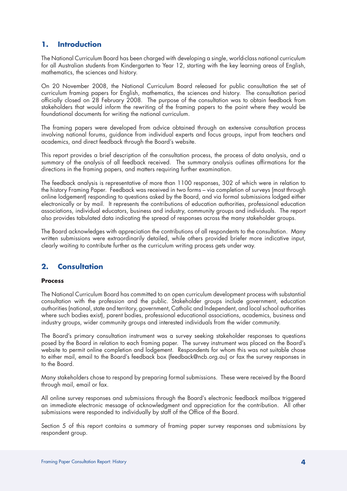# **1. Introduction**

The National Curriculum Board has been charged with developing a single, world-class national curriculum for all Australian students from Kindergarten to Year 12, starting with the key learning areas of English, mathematics, the sciences and history.

On 20 November 2008, the National Curriculum Board released for public consultation the set of curriculum framing papers for English, mathematics, the sciences and history. The consultation period officially closed on 28 February 2008. The purpose of the consultation was to obtain feedback from stakeholders that would inform the rewriting of the framing papers to the point where they would be foundational documents for writing the national curriculum.

The framing papers were developed from advice obtained through an extensive consultation process involving national forums, guidance from individual experts and focus groups, input from teachers and academics, and direct feedback through the Board's website.

This report provides a brief description of the consultation process, the process of data analysis, and a summary of the analysis of all feedback received. The summary analysis outlines affirmations for the directions in the framing papers, and matters requiring further examination.

The feedback analysis is representative of more than 1100 responses, 302 of which were in relation to the history Framing Paper. Feedback was received in two forms – via completion of surveys (most through online lodgement) responding to questions asked by the Board, and via formal submissions lodged either electronically or by mail. It represents the contributions of education authorities, professional education associations, individual educators, business and industry, community groups and individuals. The report also provides tabulated data indicating the spread of responses across the many stakeholder groups.

The Board acknowledges with appreciation the contributions of all respondents to the consultation. Many written submissions were extraordinarily detailed, while others provided briefer more indicative input, clearly waiting to contribute further as the curriculum writing process gets under way.

# **2. Consultation**

# **Process**

The National Curriculum Board has committed to an open curriculum development process with substantial consultation with the profession and the public. Stakeholder groups include government, education authorities (national, state and territory, government, Catholic and Independent, and local school authorities where such bodies exist), parent bodies, professional educational associations, academics, business and industry groups, wider community groups and interested individuals from the wider community.

The Board's primary consultation instrument was a survey seeking stakeholder responses to questions posed by the Board in relation to each framing paper. The survey instrument was placed on the Board's website to permit online completion and lodgement. Respondents for whom this was not suitable chose to either mail, email to the Board's feedback box (feedback@ncb.org.au) or fax the survey responses in to the Board.

Many stakeholders chose to respond by preparing formal submissions. These were received by the Board through mail, email or fax.

All online survey responses and submissions through the Board's electronic feedback mailbox triggered an immediate electronic message of acknowledgment and appreciation for the contribution. All other submissions were responded to individually by staff of the Office of the Board.

Section 5 of this report contains a summary of framing paper survey responses and submissions by respondent group.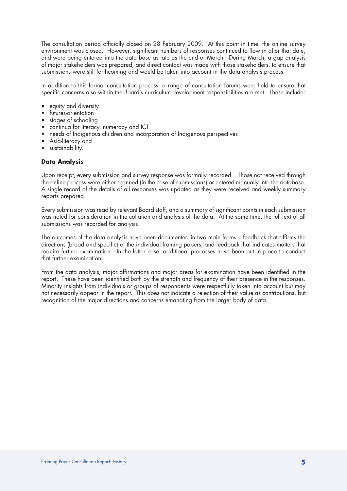The consultation period officially closed on 28 February 2009. At this point in time, the online survey environment was closed. However, significant numbers of responses continued to flow in after that date, and were being entered into the data base as late as the end of March. During March, a gap analysis of major stakeholders was prepared, and direct contact was made with those stakeholders, to ensure that submissions were still forthcoming and would be taken into account in the data analysis process.

In addition to this formal consultation process, a range of consultation forums were held to ensure that specific concerns also within the Board's curriculum development responsibilities are met. These include:

- equity and diversity
- futures-orientation
- stages of schooling
- continua for literacy, numeracy and ICT
- needs of Indigenous children and incorporation of Indigenous perspectives
- Asia-literacy and
- sustainability.

# **Data Analysis**

Upon receipt, every submission and survey response was formally recorded. Those not received through the online process were either scanned (in the case of submissions) or entered manually into the database. A single record of the details of all responses was updated as they were received and weekly summary reports prepared.

Every submission was read by relevant Board staff, and a summary of significant points in each submission was noted for consideration in the collation and analysis of the data. At the same time, the full text of all submissions was recorded for analysis.

The outcomes of the data analysis have been documented in two main forms – feedback that affirms the directions (broad and specific) of the individual framing papers, and feedback that indicates matters that require further examination. In the latter case, additional processes have been put in place to conduct that further examination.

From the data analysis, major affirmations and major areas for examination have been identified in the report. These have been identified both by the strength and frequency of their presence in the responses. Minority insights from individuals or groups of respondents were respectfully taken into account but may not necessarily appear in the report. This does not indicate a rejection of their value as contributions, but recognition of the major directions and concerns emanating from the larger body of data.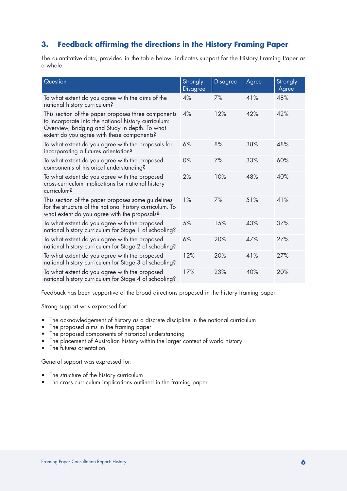# **3. Feedback affirming the directions in the History Framing Paper**

The quantitative data, provided in the table below, indicates support for the History Framing Paper as a whole.

| Question                                                                                                                                                                                                    | Strongly<br><b>Disagree</b> | Disagree | Agree | Strongly<br>Agree |
|-------------------------------------------------------------------------------------------------------------------------------------------------------------------------------------------------------------|-----------------------------|----------|-------|-------------------|
| To what extent do you agree with the aims of the<br>national history curriculum?                                                                                                                            | 4%                          | 7%       | 41%   | 48%               |
| This section of the paper proposes three components<br>to incorporate into the national history curriculum:<br>Overview, Bridging and Study in depth. To what<br>extent do you agree with these components? | 4%                          | 12%      | 42%   | 42%               |
| To what extent do you agree with the proposals for<br>incorporating a futures orientation?                                                                                                                  | 6%                          | 8%       | 38%   | 48%               |
| To what extent do you agree with the proposed<br>components of historical understanding?                                                                                                                    | $0\%$                       | 7%       | 33%   | 60%               |
| To what extent do you agree with the proposed<br>cross-curriculum implications for national history<br>curriculum?                                                                                          | 2%                          | 10%      | 48%   | 40%               |
| This section of the paper proposes some guidelines<br>for the structure of the national history curriculum. To<br>what extent do you agree with the proposals?                                              | 1%                          | 7%       | 51%   | 41%               |
| To what extent do you agree with the proposed<br>national history curriculum for Stage 1 of schooling?                                                                                                      | 5%                          | 15%      | 43%   | 37%               |
| To what extent do you agree with the proposed<br>national history curriculum for Stage 2 of schooling?                                                                                                      | 6%                          | 20%      | 47%   | 27%               |
| To what extent do you agree with the proposed<br>national history curriculum for Stage 3 of schooling?                                                                                                      | 12%                         | 20%      | 41%   | 27%               |
| To what extent do you agree with the proposed<br>national history curriculum for Stage 4 of schooling?                                                                                                      | 17%                         | 23%      | 40%   | 20%               |

Feedback has been supportive of the broad directions proposed in the history framing paper.

Strong support was expressed for:

- The acknowledgement of history as a discrete discipline in the national curriculum
- • The proposed aims in the framing paper
- The proposed components of historical understanding
- The placement of Australian history within the larger context of world history
- The futures orientation.

General support was expressed for:

- The structure of the history curriculum
- The cross curriculum implications outlined in the framing paper.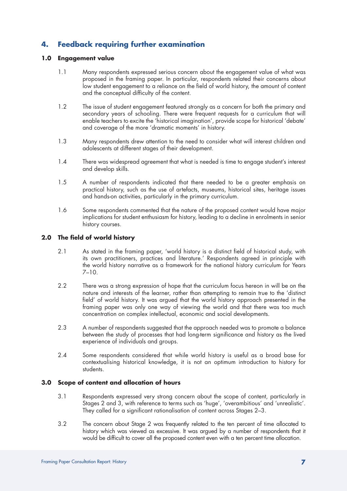# **4. Feedback requiring further examination**

# **1.0 Engagement value**

- 1.1 Many respondents expressed serious concern about the engagement value of what was proposed in the framing paper. In particular, respondents related their concerns about low student engagement to a reliance on the field of world history, the amount of content and the conceptual difficulty of the content.
- 1.2 The issue of student engagement featured strongly as a concern for both the primary and secondary years of schooling. There were frequent requests for a curriculum that will enable teachers to excite the 'historical imagination', provide scope for historical 'debate' and coverage of the more 'dramatic moments' in history.
- 1.3 Many respondents drew attention to the need to consider what will interest children and adolescents at different stages of their development.
- 1.4 There was widespread agreement that what is needed is time to engage student's interest and develop skills.
- 1.5 A number of respondents indicated that there needed to be a greater emphasis on practical history, such as the use of artefacts, museums, historical sites, heritage issues and hands-on activities, particularly in the primary curriculum.
- 1.6 Some respondents commented that the nature of the proposed content would have major implications for student enthusiasm for history, leading to a decline in enrolments in senior history courses.

# **2.0 The field of world history**

- 2.1 As stated in the framing paper, 'world history is a distinct field of historical study, with its own practitioners, practices and literature.' Respondents agreed in principle with the world history narrative as a framework for the national history curriculum for Years 7–10.
- 2.2 There was a strong expression of hope that the curriculum focus hereon in will be on the nature and interests of the learner, rather than attempting to remain true to the 'distinct field' of world history. It was argued that the world history approach presented in the framing paper was only one way of viewing the world and that there was too much concentration on complex intellectual, economic and social developments.
- 2.3 A number of respondents suggested that the approach needed was to promote a balance between the study of processes that had long-term significance and history as the lived experience of individuals and groups.
- 2.4 Some respondents considered that while world history is useful as a broad base for contextualising historical knowledge, it is not an optimum introduction to history for students.

# **3.0 Scope of content and allocation of hours**

- 3.1 Respondents expressed very strong concern about the scope of content, particularly in Stages 2 and 3, with reference to terms such as 'huge', 'overambitious' and 'unrealistic'. They called for a significant rationalisation of content across Stages 2–3.
- 3.2 The concern about Stage 2 was frequently related to the ten percent of time allocated to history which was viewed as excessive. It was argued by a number of respondents that it would be difficult to cover all the proposed content even with a ten percent time allocation.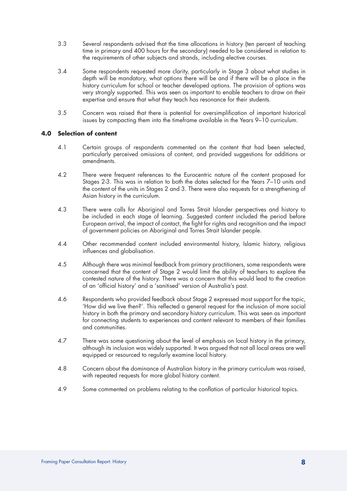- 3.3 Several respondents advised that the time allocations in history (ten percent of teaching time in primary and 400 hours for the secondary) needed to be considered in relation to the requirements of other subjects and strands, including elective courses.
- 3.4 Some respondents requested more clarity, particularly in Stage 3 about what studies in depth will be mandatory, what options there will be and if there will be a place in the history curriculum for school or teacher developed options. The provision of options was very strongly supported. This was seen as important to enable teachers to draw on their expertise and ensure that what they teach has resonance for their students.
- 3.5 Concern was raised that there is potential for oversimplification of important historical issues by compacting them into the timeframe available in the Years 9–10 curriculum.

# **4.0 Selection of content**

- 4.1 Certain groups of respondents commented on the content that had been selected, particularly perceived omissions of content, and provided suggestions for additions or amendments.
- 4.2 There were frequent references to the Eurocentric nature of the content proposed for Stages 2-3. This was in relation to both the dates selected for the Years 7–10 units and the content of the units in Stages 2 and 3. There were also requests for a strengthening of Asian history in the curriculum.
- 4.3 There were calls for Aboriginal and Torres Strait Islander perspectives and history to be included in each stage of learning. Suggested content included the period before European arrival, the impact of contact, the fight for rights and recognition and the impact of government policies on Aboriginal and Torres Strait Islander people.
- 4.4 Other recommended content included environmental history, Islamic history, religious influences and globalisation.
- 4.5 Although there was minimal feedback from primary practitioners, some respondents were concerned that the content of Stage 2 would limit the ability of teachers to explore the contested nature of the history. There was a concern that this would lead to the creation of an 'official history' and a 'sanitised' version of Australia's past.
- 4.6 Respondents who provided feedback about Stage 2 expressed most support for the topic, 'How did we live then?'. This reflected a general request for the inclusion of more social history in both the primary and secondary history curriculum. This was seen as important for connecting students to experiences and content relevant to members of their families and communities.
- 4.7 There was some questioning about the level of emphasis on local history in the primary, although its inclusion was widely supported. It was argued that not all local areas are well equipped or resourced to regularly examine local history.
- 4.8 Concern about the dominance of Australian history in the primary curriculum was raised, with repeated requests for more global history content.
- 4.9 Some commented on problems relating to the conflation of particular historical topics.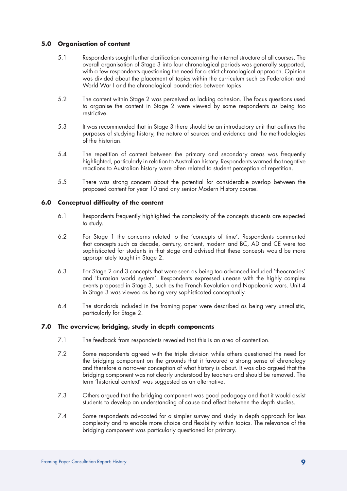# **5.0 Organisation of content**

- 5.1 Respondents sought further clarification concerning the internal structure of all courses. The overall organisation of Stage 3 into four chronological periods was generally supported, with a few respondents questioning the need for a strict chronological approach. Opinion was divided about the placement of topics within the curriculum such as Federation and World War I and the chronological boundaries between topics.
- 5.2 The content within Stage 2 was perceived as lacking cohesion. The focus questions used to organise the content in Stage 2 were viewed by some respondents as being too restrictive.
- 5.3 It was recommended that in Stage 3 there should be an introductory unit that outlines the purposes of studying history, the nature of sources and evidence and the methodologies of the historian.
- 5.4 The repetition of content between the primary and secondary areas was frequently highlighted, particularly in relation to Australian history. Respondents warned that negative reactions to Australian history were often related to student perception of repetition.
- 5.5 There was strong concern about the potential for considerable overlap between the proposed content for year 10 and any senior Modern History course.

# **6.0 Conceptual difficulty of the content**

- 6.1 Respondents frequently highlighted the complexity of the concepts students are expected to study.
- 6.2 For Stage 1 the concerns related to the 'concepts of time'. Respondents commented that concepts such as decade, century, ancient, modern and BC, AD and CE were too sophisticated for students in that stage and advised that these concepts would be more appropriately taught in Stage 2.
- 6.3 For Stage 2 and 3 concepts that were seen as being too advanced included 'theocracies' and 'Eurasian world system'. Respondents expressed unease with the highly complex events proposed in Stage 3, such as the French Revolution and Napoleonic wars. Unit 4 in Stage 3 was viewed as being very sophisticated conceptually.
- 6.4 The standards included in the framing paper were described as being very unrealistic, particularly for Stage 2.

# **7.0 The overview, bridging, study in depth components**

- 7.1 The feedback from respondents revealed that this is an area of contention.
- 7.2 Some respondents agreed with the triple division while others questioned the need for the bridging component on the grounds that it favoured a strong sense of chronology and therefore a narrower conception of what history is about. It was also argued that the bridging component was not clearly understood by teachers and should be removed. The term 'historical context' was suggested as an alternative.
- 7.3 Others argued that the bridging component was good pedagogy and that it would assist students to develop an understanding of cause and effect between the depth studies.
- 7.4 Some respondents advocated for a simpler survey and study in depth approach for less complexity and to enable more choice and flexibility within topics. The relevance of the bridging component was particularly questioned for primary.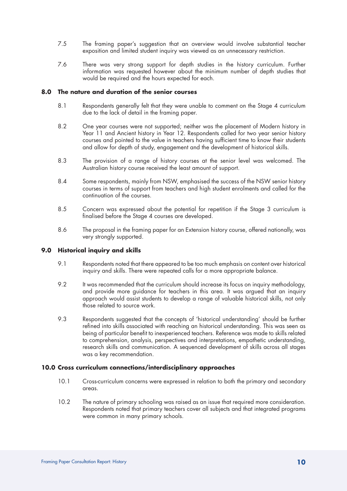- 7.5 The framing paper's suggestion that an overview would involve substantial teacher exposition and limited student inquiry was viewed as an unnecessary restriction.
- 7.6 There was very strong support for depth studies in the history curriculum. Further information was requested however about the minimum number of depth studies that would be required and the hours expected for each.

# **8.0 The nature and duration of the senior courses**

- 8.1 Respondents generally felt that they were unable to comment on the Stage 4 curriculum due to the lack of detail in the framing paper.
- 8.2 One year courses were not supported; neither was the placement of Modern history in Year 11 and Ancient history in Year 12. Respondents called for two year senior history courses and pointed to the value in teachers having sufficient time to know their students and allow for depth of study, engagement and the development of historical skills.
- 8.3 The provision of a range of history courses at the senior level was welcomed. The Australian history course received the least amount of support.
- 8.4 Some respondents, mainly from NSW, emphasised the success of the NSW senior history courses in terms of support from teachers and high student enrolments and called for the continuation of the courses.
- 8.5 Concern was expressed about the potential for repetition if the Stage 3 curriculum is finalised before the Stage 4 courses are developed.
- 8.6 The proposal in the framing paper for an Extension history course, offered nationally, was very strongly supported.

# **9.0 Historical inquiry and skills**

- 9.1 Respondents noted that there appeared to be too much emphasis on content over historical inquiry and skills. There were repeated calls for a more appropriate balance.
- 9.2 It was recommended that the curriculum should increase its focus on inquiry methodology, and provide more guidance for teachers in this area. It was argued that an inquiry approach would assist students to develop a range of valuable historical skills, not only those related to source work.
- 9.3 Respondents suggested that the concepts of 'historical understanding' should be further refined into skills associated with reaching an historical understanding. This was seen as being of particular benefit to inexperienced teachers. Reference was made to skills related to comprehension, analysis, perspectives and interpretations, empathetic understanding, research skills and communication. A sequenced development of skills across all stages was a key recommendation.

# **10.0 Cross curriculum connections/interdisciplinary approaches**

- 10.1 Cross-curriculum concerns were expressed in relation to both the primary and secondary areas.
- 10.2 The nature of primary schooling was raised as an issue that required more consideration. Respondents noted that primary teachers cover all subjects and that integrated programs were common in many primary schools.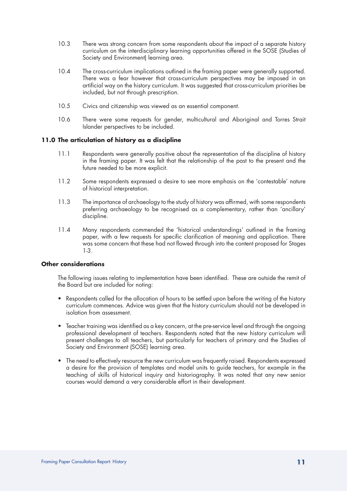- 10.3 There was strong concern from some respondents about the impact of a separate history curriculum on the interdisciplinary learning opportunities offered in the SOSE (Studies of Society and Environment) learning area.
- 10.4 The cross-curriculum implications outlined in the framing paper were generally supported. There was a fear however that cross-curriculum perspectives may be imposed in an artificial way on the history curriculum. It was suggested that cross-curriculum priorities be included, but not through prescription.
- 10.5 Civics and citizenship was viewed as an essential component.
- 10.6 There were some requests for gender, multicultural and Aboriginal and Torres Strait Islander perspectives to be included.

# **11.0 The articulation of history as a discipline**

- 11.1 Respondents were generally positive about the representation of the discipline of history in the framing paper. It was felt that the relationship of the past to the present and the future needed to be more explicit.
- 11.2 Some respondents expressed a desire to see more emphasis on the 'contestable' nature of historical interpretation.
- 11.3 The importance of archaeology to the study of history was affirmed, with some respondents preferring archaeology to be recognised as a complementary, rather than 'ancillary' discipline.
- 11.4 Many respondents commended the 'historical understandings' outlined in the framing paper, with a few requests for specific clarification of meaning and application. There was some concern that these had not flowed through into the content proposed for Stages 1-3.

# **Other considerations**

The following issues relating to implementation have been identified. These are outside the remit of the Board but are included for noting:

- Respondents called for the allocation of hours to be settled upon before the writing of the history curriculum commences. Advice was given that the history curriculum should not be developed in isolation from assessment.
- • Teacher training was identified as a key concern, at the pre-service level and through the ongoing professional development of teachers. Respondents noted that the new history curriculum will present challenges to all teachers, but particularly for teachers of primary and the Studies of Society and Environment (SOSE) learning area.
- The need to effectively resource the new curriculum was frequently raised. Respondents expressed a desire for the provision of templates and model units to guide teachers, for example in the teaching of skills of historical inquiry and historiography. It was noted that any new senior courses would demand a very considerable effort in their development.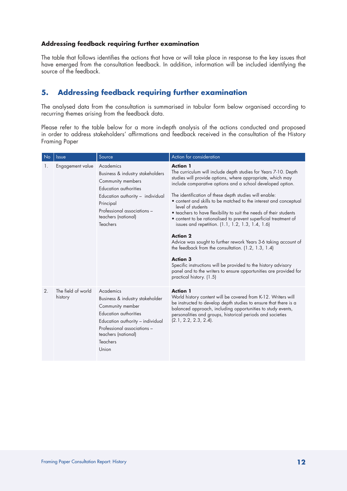# **Addressing feedback requiring further examination**

The table that follows identifies the actions that have or will take place in response to the key issues that have emerged from the consultation feedback. In addition, information will be included identifying the source of the feedback.

# **5. Addressing feedback requiring further examination**

The analysed data from the consultation is summarised in tabular form below organised according to recurring themes arising from the feedback data.

Please refer to the table below for a more in-depth analysis of the actions conducted and proposed in order to address stakeholders' affirmations and feedback received in the consultation of the History Framing Paper

| N <sub>o</sub> | Issue                         | Source                                                                                                                                                                                                                       | Action for consideration                                                                                                                                                                                                                                                                                                                                                                                                                                                                                                                                                                                                                                                                                                                                                                                                                                                                              |
|----------------|-------------------------------|------------------------------------------------------------------------------------------------------------------------------------------------------------------------------------------------------------------------------|-------------------------------------------------------------------------------------------------------------------------------------------------------------------------------------------------------------------------------------------------------------------------------------------------------------------------------------------------------------------------------------------------------------------------------------------------------------------------------------------------------------------------------------------------------------------------------------------------------------------------------------------------------------------------------------------------------------------------------------------------------------------------------------------------------------------------------------------------------------------------------------------------------|
| 1.             | Engagement value              | Academics<br>Business & industry stakeholders<br>Community members<br><b>Education authorities</b><br>Education authority - individual<br>Principal<br>Professional associations -<br>teachers (national)<br><b>Teachers</b> | <b>Action 1</b><br>The curriculum will include depth studies for Years 7-10. Depth<br>studies will provide options, where appropriate, which may<br>include comparative options and a school developed option.<br>The identification of these depth studies will enable:<br>• content and skills to be matched to the interest and conceptual<br>level of students<br>· teachers to have flexibility to suit the needs of their students<br>• content to be rationalised to prevent superficial treatment of<br>issues and repetition. (1.1, 1.2, 1.3, 1.4, 1.6)<br><b>Action 2</b><br>Advice was sought to further rework Years 3-6 taking account of<br>the feedback from the consultation. $(1.2, 1.3, 1.4)$<br><b>Action 3</b><br>Specific instructions will be provided to the history advisory<br>panel and to the writers to ensure opportunities are provided for<br>practical history. (1.5) |
| 2.             | The field of world<br>history | Academics<br>Business & industry stakeholder<br>Community member<br><b>Education authorities</b><br>Education authority - individual<br>Professional associations -<br>teachers (national)<br>Teachers<br>Union              | <b>Action 1</b><br>World history content will be covered from K-12. Writers will<br>be instructed to develop depth studies to ensure that there is a<br>balanced approach, including opportunities to study events,<br>personalities and groups, historical periods and societies<br>(2.1, 2.2, 2.3, 2.4).                                                                                                                                                                                                                                                                                                                                                                                                                                                                                                                                                                                            |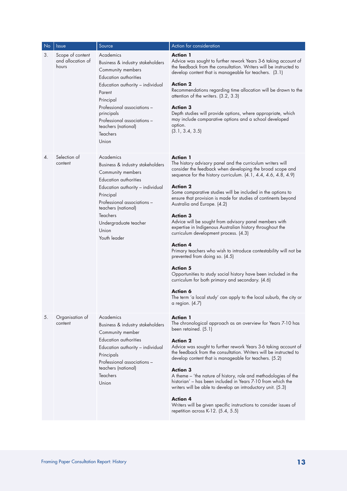| No | <b>Issue</b>                                   | Source                                                                                                                                                                                                                                                                         | Action for consideration                                                                                                                                                                                                                                                                                                                                                                                                                                                                                                                                                                                                                                                                                                                                                                                                                                                                                                                                       |
|----|------------------------------------------------|--------------------------------------------------------------------------------------------------------------------------------------------------------------------------------------------------------------------------------------------------------------------------------|----------------------------------------------------------------------------------------------------------------------------------------------------------------------------------------------------------------------------------------------------------------------------------------------------------------------------------------------------------------------------------------------------------------------------------------------------------------------------------------------------------------------------------------------------------------------------------------------------------------------------------------------------------------------------------------------------------------------------------------------------------------------------------------------------------------------------------------------------------------------------------------------------------------------------------------------------------------|
| 3. | Scope of content<br>and allocation of<br>hours | Academics<br>Business & industry stakeholders<br>Community members<br>Education authorities<br>Education authority - individual<br>Parent<br>Principal<br>Professional associations -<br>principals<br>Professional associations -<br>teachers (national)<br>Teachers<br>Union | <b>Action 1</b><br>Advice was sought to further rework Years 3-6 taking account of<br>the feedback from the consultation. Writers will be instructed to<br>develop content that is manageable for teachers. (3.1)<br><b>Action 2</b><br>Recommendations regarding time allocation will be drawn to the<br>attention of the writers. (3.2, 3.3)<br><b>Action 3</b><br>Depth studies will provide options, where appropriate, which<br>may include comparative options and a school developed<br>option.<br>(3.1, 3.4, 3.5)                                                                                                                                                                                                                                                                                                                                                                                                                                      |
| 4. | Selection of<br>content                        | Academics<br>Business & industry stakeholders<br>Community members<br>Education authorities<br>Education authority – individual<br>Principal<br>Professional associations -<br>teachers (national)<br>Teachers<br>Undergraduate teacher<br>Union<br>Youth leader               | <b>Action 1</b><br>The history advisory panel and the curriculum writers will<br>consider the feedback when developing the broad scope and<br>sequence for the history curriculum. (4.1, 4.4, 4.6, 4.8, 4.9)<br><b>Action 2</b><br>Some comparative studies will be included in the options to<br>ensure that provision is made for studies of continents beyond<br>Australia and Europe. (4.2)<br><b>Action 3</b><br>Advice will be sought from advisory panel members with<br>expertise in Indigenous Australian history throughout the<br>curriculum development process. (4.3)<br><b>Action 4</b><br>Primary teachers who wish to introduce contestability will not be<br>prevented from doing so. (4.5)<br><b>Action 5</b><br>Opportunities to study social history have been included in the<br>curriculum for both primary and secondary. (4.6)<br>Action 6<br>The term 'a local study' can apply to the local suburb, the city or<br>a region. $(4.7)$ |
| 5. | Organisation of<br>content                     | Academics<br>Business & industry stakeholders<br>Community member<br>Education authorities<br>Education authority - individual<br>Principals<br>Professional associations -<br>teachers (national)<br><b>Teachers</b><br>Union                                                 | <b>Action 1</b><br>The chronological approach as an overview for Years 7-10 has<br>been retained. (5.1)<br><b>Action 2</b><br>Advice was sought to further rework Years 3-6 taking account of<br>the feedback from the consultation. Writers will be instructed to<br>develop content that is manageable for teachers. (5.2)<br><b>Action 3</b><br>A theme - 'the nature of history, role and methodologies of the<br>historian' – has been included in Years 7-10 from which the<br>writers will be able to develop an introductory unit. (5.3)<br><b>Action 4</b><br>Writers will be given specific instructions to consider issues of<br>repetition across K-12. (5.4, 5.5)                                                                                                                                                                                                                                                                                 |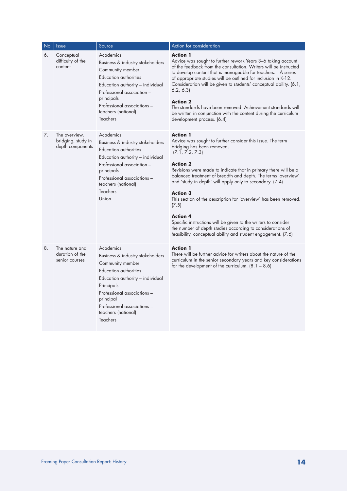| No | Issue                                                   | Source                                                                                                                                                                                                                                                            | Action for consideration                                                                                                                                                                                                                                                                                                                                                                                                                                                                                                                                                                                                                                              |
|----|---------------------------------------------------------|-------------------------------------------------------------------------------------------------------------------------------------------------------------------------------------------------------------------------------------------------------------------|-----------------------------------------------------------------------------------------------------------------------------------------------------------------------------------------------------------------------------------------------------------------------------------------------------------------------------------------------------------------------------------------------------------------------------------------------------------------------------------------------------------------------------------------------------------------------------------------------------------------------------------------------------------------------|
| 6. | Conceptual<br>difficulty of the<br>content              | Academics<br>Business & industry stakeholders<br>Community member<br>Education authorities<br>Education authority - individual<br>Professional association -<br>principals<br>Professional associations -<br>teachers (national)<br><b>Teachers</b>               | <b>Action 1</b><br>Advice was sought to further rework Years 3-6 taking account<br>of the feedback from the consultation. Writers will be instructed<br>to develop content that is manageable for teachers.  A series<br>of appropriate studies will be outlined for inclusion in K-12.<br>Consideration will be given to students' conceptual ability. (6.1,<br>6.2, 6.3<br><b>Action 2</b><br>The standards have been removed. Achievement standards will<br>be written in conjunction with the content during the curriculum<br>development process. (6.4)                                                                                                         |
| 7. | The overview,<br>bridging, study in<br>depth components | Academics<br>Business & industry stakeholders<br><b>Education authorities</b><br>Education authority - individual<br>Professional association -<br>principals<br>Professional associations -<br>teachers (national)<br><b>Teachers</b><br>Union                   | <b>Action 1</b><br>Advice was sought to further consider this issue. The term<br>bridging has been removed.<br>[7.1, 7.2, 7.3]<br><b>Action 2</b><br>Revisions were made to indicate that in primary there will be a<br>balanced treatment of breadth and depth. The terms 'overview'<br>and 'study in depth' will apply only to secondary. (7.4)<br><b>Action 3</b><br>This section of the description for 'overview' has been removed.<br>(7.5)<br><b>Action 4</b><br>Specific instructions will be given to the writers to consider<br>the number of depth studies according to considerations of<br>feasibility, conceptual ability and student engagement. (7.6) |
| 8. | The nature and<br>duration of the<br>senior courses     | Academics<br>Business & industry stakeholders<br>Community member<br>Education authorities<br>Education authority - individual<br>Principals<br>Professional associations -<br>principal<br>Professional associations -<br>teachers (national)<br><b>Teachers</b> | <b>Action 1</b><br>There will be further advice for writers about the nature of the<br>curriculum in the senior secondary years and key considerations<br>for the development of the curriculum. $(8.1 - 8.6)$                                                                                                                                                                                                                                                                                                                                                                                                                                                        |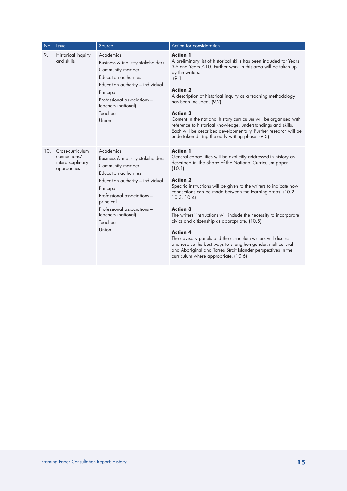| <b>No</b> | <b>Issue</b>                                                        | Source                                                                                                                                                                                                                                                                    | Action for consideration                                                                                                                                                                                                                                                                                                                                                                                                                                                                                                                                                                                                                                                                                                             |
|-----------|---------------------------------------------------------------------|---------------------------------------------------------------------------------------------------------------------------------------------------------------------------------------------------------------------------------------------------------------------------|--------------------------------------------------------------------------------------------------------------------------------------------------------------------------------------------------------------------------------------------------------------------------------------------------------------------------------------------------------------------------------------------------------------------------------------------------------------------------------------------------------------------------------------------------------------------------------------------------------------------------------------------------------------------------------------------------------------------------------------|
| 9.        | Historical inquiry<br>and skills                                    | Academics<br>Business & industry stakeholders<br>Community member<br><b>Education authorities</b><br>Education authority - individual<br>Principal<br>Professional associations -<br>teachers (national)<br>Teachers<br>Union                                             | <b>Action 1</b><br>A preliminary list of historical skills has been included for Years<br>3-6 and Years 7-10. Further work in this area will be taken up<br>by the writers.<br>(9.1)<br><b>Action 2</b><br>A description of historical inquiry as a teaching methodology<br>has been included. (9.2)<br><b>Action 3</b><br>Content in the national history curriculum will be organised with<br>reference to historical knowledge, understandings and skills.<br>Each will be described developmentally. Further research will be<br>undertaken during the early writing phase. (9.3)                                                                                                                                                |
| 10.       | Cross-curriculum<br>connections/<br>interdisciplinary<br>approaches | Academics<br>Business & industry stakeholders<br>Community member<br><b>Education authorities</b><br>Education authority - individual<br>Principal<br>Professional associations -<br>principal<br>Professional associations -<br>teachers (national)<br>Teachers<br>Union | <b>Action 1</b><br>General capabilities will be explicitly addressed in history as<br>described in The Shape of the National Curriculum paper.<br>(10.1)<br><b>Action 2</b><br>Specific instructions will be given to the writers to indicate how<br>connections can be made between the learning areas. (10.2,<br>10.3, 10.4<br><b>Action 3</b><br>The writers' instructions will include the necessity to incorporate<br>civics and citizenship as appropriate. (10.5)<br><b>Action 4</b><br>The advisory panels and the curriculum writers will discuss<br>and resolve the best ways to strengthen gender, multicultural<br>and Aboriginal and Torres Strait Islander perspectives in the<br>curriculum where appropriate. (10.6) |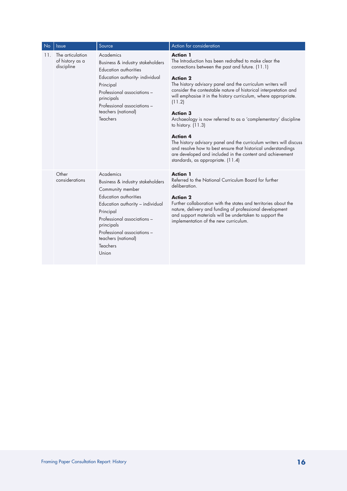| No  | Issue                                             | Source                                                                                                                                                                                                                                                                            | Action for consideration                                                                                                                                                                                                                                                                                                                                                                                                                                                                                                                                                                                                                                                                                                               |
|-----|---------------------------------------------------|-----------------------------------------------------------------------------------------------------------------------------------------------------------------------------------------------------------------------------------------------------------------------------------|----------------------------------------------------------------------------------------------------------------------------------------------------------------------------------------------------------------------------------------------------------------------------------------------------------------------------------------------------------------------------------------------------------------------------------------------------------------------------------------------------------------------------------------------------------------------------------------------------------------------------------------------------------------------------------------------------------------------------------------|
| 11. | The articulation<br>of history as a<br>discipline | Academics<br>Business & industry stakeholders<br><b>Education authorities</b><br>Education authority- individual<br>Principal<br>Professional associations -<br>principals<br>Professional associations -<br>teachers (national)<br><b>Teachers</b>                               | <b>Action 1</b><br>The Introduction has been redrafted to make clear the<br>connections between the past and future. (11.1)<br><b>Action 2</b><br>The history advisory panel and the curriculum writers will<br>consider the contestable nature of historical interpretation and<br>will emphasise it in the history curriculum, where appropriate.<br>(11.2)<br><b>Action 3</b><br>Archaeology is now referred to as a 'complementary' discipline<br>to history. $(11.3)$<br><b>Action 4</b><br>The history advisory panel and the curriculum writers will discuss<br>and resolve how to best ensure that historical understandings<br>are developed and included in the content and achievement<br>standards, as appropriate. (11.4) |
|     | Other<br>considerations                           | Academics<br>Business & industry stakeholders<br>Community member<br><b>Education authorities</b><br>Education authority - individual<br>Principal<br>Professional associations -<br>principals<br>Professional associations -<br>teachers (national)<br><b>Teachers</b><br>Union | <b>Action 1</b><br>Referred to the National Curriculum Board for further<br>deliberation.<br><b>Action 2</b><br>Further collaboration with the states and territories about the<br>nature, delivery and funding of professional development<br>and support materials will be undertaken to support the<br>implementation of the new curriculum.                                                                                                                                                                                                                                                                                                                                                                                        |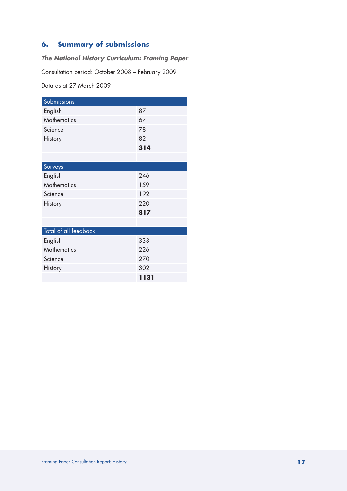# **6. Summary of submissions**

# *The National History Curriculum: Framing Paper*

Consultation period: October 2008 – February 2009

Data as at 27 March 2009

| Submissions           |      |
|-----------------------|------|
| English               | 87   |
| <b>Mathematics</b>    | 67   |
| Science               | 78   |
| History               | 82   |
|                       | 314  |
|                       |      |
| Surveys               |      |
| English               | 246  |
| <b>Mathematics</b>    | 159  |
| Science               | 192  |
| History               | 220  |
|                       | 817  |
|                       |      |
| Total of all feedback |      |
| English               | 333  |
| <b>Mathematics</b>    | 226  |
| Science               | 270  |
| History               | 302  |
|                       | 1131 |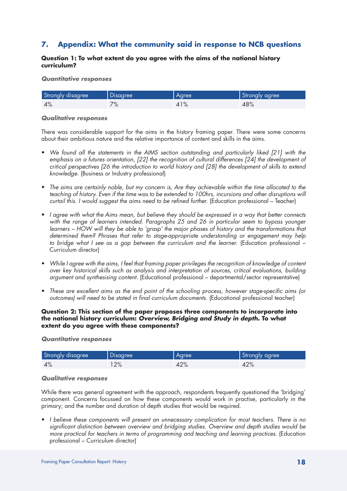# **7. Appendix: What the community said in response to NCB questions**

# **Question 1: To what extent do you agree with the aims of the national history curriculum?**

#### *Quantitative responses*

| <b>Strongly disagree</b> | Disagree              | Agree | Strongly agree |
|--------------------------|-----------------------|-------|----------------|
| 4%                       | 70/<br>$\sqrt{\circ}$ | 41%   | 48%            |

#### *Qualitative responses*

There was considerable support for the aims in the history framing paper. There were some concerns about their ambitious nature and the relative importance of content and skills in the aims.

- We found all the statements in the AIMS section outstanding and particularly liked [21] with the *emphasis on a futures orientation, [22] the recognition of cultural differences [24] the development of critical perspectives [26 the introduction to world history and [28] the development of skills to extend knowledge.* (Business or Industry professional)
- • *The aims are certainly noble, but my concern is, Are they achievable within the time allocated to the teaching of history. Even if the time was to be extended to 100hrs, incursions and other disruptions will curtail this. I would suggest the aims need to be refined further.* (Education professional – Teacher)
- • *I agree with what the Aims mean, but believe they should be expressed in a way that better connects with the range of learners intended. Paragraphs 25 and 26 in particular seem to bypass younger learners – HOW will they be able to 'grasp' the major phases of history and the transformations that determined them? Phrases that refer to stage-appropriate understanding or engagement may help to bridge what I see as a gap between the curriculum and the learner.* (Education professional – Curriculum director)
- • *While I agree with the aims, I feel that framing paper privileges the recognition of knowledge of content over key historical skills such as analysis and interpretation of sources, critical evaluations, building argument and synthesising content.* (Educational professional – departmental/sector representative)
- • *These are excellent aims as the end point of the schooling process, however stage-specific aims (or outcomes) will need to be stated in final curriculum documents.* (Educational professional teacher)

#### **Question 2: This section of the paper proposes three components to incorporate into the national history curriculum:** *Overview, Bridging and Study in depth***. To what extent do you agree with these components?**

#### *Quantitative responses*

| Strongly disagree | Disagree | Agree | Strongly agree |
|-------------------|----------|-------|----------------|
| 4%                | 2%       | 42%   | 42%            |

#### *Qualitative responses*

While there was general agreement with the approach, respondents frequently questioned the 'bridging' component. Concerns focussed on how these components would work in practise, particularly in the primary; and the number and duration of depth studies that would be required.

• *I believe these components will present an unnecessary complication for most teachers. There is no significant distinction between overview and bridging studies. Overview and depth studies would be more practical for teachers in terms of programming and teaching and learning practices.* (Education professional – Curriculum director)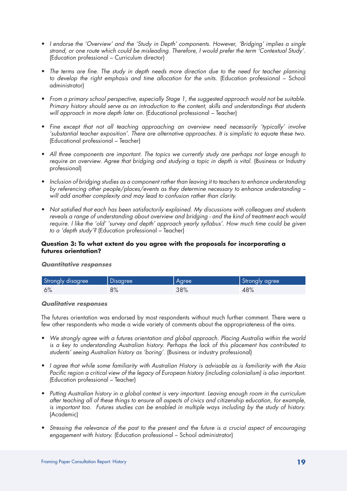- I endorse the 'Overview' and the 'Study in Depth' components. However, 'Bridging' implies a single *strand, or one route which could be misleading. Therefore, I would prefer the term 'Contextual Study'.* (Education professional – Curriculum director)
- The terms are fine. The study in depth needs more direction due to the need for teacher planning *to develop the right emphasis and time allocation for the units.* (Education professional – School administrator)
- From a primary school perspective, especially Stage 1, the suggested approach would not be suitable. *Primary history should serve as an introduction to the content, skills and understandings that students will approach in more depth later on.* (Educational professional – Teacher)
- • *Fine except that not all teaching approaching an overview need necessarily 'typically' involve 'substantial teacher exposition'. There are alternative approaches. It is simplistic to equate these two.*  (Educational professional – Teacher)
- • *All three components are important. The topics we currently study are perhaps not large enough to require an overview. Agree that bridging and studying a topic in depth is vital.* (Business or Industry professional)
- • *Inclusion of bridging studies as a component rather than leaving it to teachers to enhance understanding by referencing other people/places/events as they determine necessary to enhance understanding – will add another complexity and may lead to confusion rather than clarity.*
- • *Not satisfied that each has been satisfactorily explained. My discussions with colleagues and students reveals a range of understanding about overview and bridging - and the kind of treatment each would require. I like the 'old' 'survey and depth' approach yearly syllabus'. How much time could be given to a 'depth study'?* (Education professional – Teacher)

# **Question 3: To what extent do you agree with the proposals for incorporating a futures orientation?**

# *Quantitative responses*

| Strongly disagree | <b>Disagree</b> | Agree  | Strongly agree |
|-------------------|-----------------|--------|----------------|
| 6%                | 8%              | $38\%$ | 48%            |

# *Qualitative responses*

The futures orientation was endorsed by most respondents without much further comment. There were a few other respondents who made a wide variety of comments about the appropriateness of the aims.

- We strongly agree with a futures orientation and global approach. Placing Australia within the world *is a key to understanding Australian history. Perhaps the lack of this placement has contributed to students' seeing Australian history as 'boring'.* (Business or industry professional)
- • *I agree that while some familiarity with Australian History is advisable as is familiarity with the Asia Pacific region a critical view of the legacy of European history (including colonialism) is also important.* (Education professional – Teacher)
- Putting Australian history in a global context is very important. Leaving enough room in the curriculum *after teaching all of these things to ensure all aspects of civics and citizenship education, for example, is important too. Futures studies can be enabled in multiple ways including by the study of history.* (Academic)
- Stressing the relevance of the past to the present and the future is a crucial aspect of encouraging *engagement with history.* (Education professional – School administrator)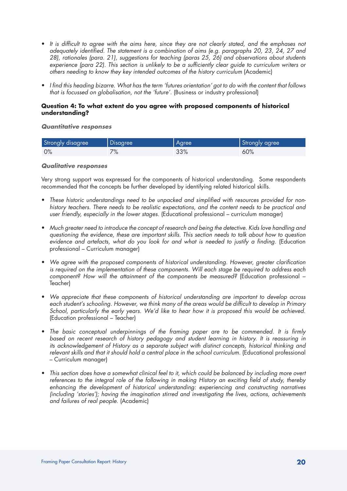- It is difficult to agree with the aims here, since they are not clearly stated, and the emphases not *adequately identified. The statement is a combination of aims (e.g. paragraphs 20, 23, 24, 27 and 28), rationales (para. 21), suggestions for teaching (paras 25, 26) and observations about students experience (para 22). This section is unlikely to be a sufficiently clear guide to curriculum writers or others needing to know they key intended outcomes of the history curriculum* (Academic)
- • *I find this heading bizarre. What has the term 'futures orientation' got to do with the content that follows that is focussed on globalisation, not the 'future'.* (Business or industry professional)

# **Question 4: To what extent do you agree with proposed components of historical understanding?**

*Quantitative responses*

| Strongly disagree | Disagree <sup>1</sup> | Agree | Strongly agree |
|-------------------|-----------------------|-------|----------------|
| 0%                | 70/<br>70             | 33%   | 60%            |

#### *Qualitative responses*

Very strong support was expressed for the components of historical understanding. Some respondents recommended that the concepts be further developed by identifying related historical skills.

- These historic understandings need to be unpacked and simplified with resources provided for non*history teachers. There needs to be realistic expectations, and the content needs to be practical and user friendly, especially in the lower stages.* (Educational professional – curriculum manager)
- • *Much greater need to introduce the concept of research and being the detective. Kids love handling and questioning the evidence, these are important skills. This section needs to talk about how to question*  evidence and artefacts, what do you look for and what is needed to justify a finding. (Education professional – Curriculum manager)
- • *We agree with the proposed components of historical understanding. However, greater clarification is required on the implementation of these components. Will each stage be required to address each component? How will the attainment of the components be measured?* (Education professional – Teacher)
- • *We appreciate that these components of historical understanding are important to develop across*  each student's schooling. However, we think many of the areas would be difficult to develop in Primary *School, particularly the early years. We'd like to hear how it is proposed this would be achieved.* (Education professional – Teacher)
- The basic conceptual underpinnings of the framing paper are to be commended. It is firmly *based on recent research of history pedagogy and student learning in history. It is reassuring in its acknowledgement of History as a separate subject with distinct concepts, historical thinking and relevant skills and that it should hold a central place in the school curriculum.* (Educational professional – Curriculum manager)
- This section does have a somewhat clinical feel to it, which could be balanced by including more overt *references to the integral role of the following in making History an exciting field of study, thereby enhancing the development of historical understanding: experiencing and constructing narratives (including 'stories'); having the imagination stirred and investigating the lives, actions, achievements and failures of real people.* (Academic)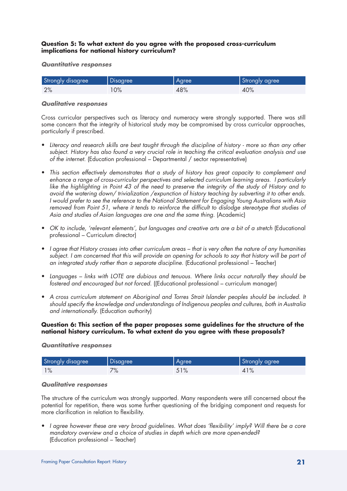# **Question 5: To what extent do you agree with the proposed cross-curriculum implications for national history curriculum?**

#### *Quantitative responses*

| Strongly disagree | Disagree | Agree | Strongly agree |
|-------------------|----------|-------|----------------|
| 2%                | 0%       | 48%   | 40%            |

#### *Qualitative responses*

Cross curricular perspectives such as literacy and numeracy were strongly supported. There was still some concern that the integrity of historical study may be compromised by cross curricular approaches, particularly if prescribed.

- Literacy and research skills are best taught through the discipline of history more so than any other *subject. History has also found a very crucial role in teaching the critical evaluation analysis and use of the internet.* (Education professional – Departmental / sector representative)
- • *This section effectively demonstrates that a study of history has great capacity to complement and enhance a range of cross-curricular perspectives and selected curriculum learning areas. I particularly like the highlighting in Point 43 of the need to preserve the integrity of the study of History and to avoid the watering down/ trivialization /expunction of history teaching by subverting it to other ends. I would prefer to see the reference to the National Statement for Engaging Young Australians with Asia removed from Point 51, where it tends to reinforce the difficult to dislodge stereotype that studies of Asia and studies of Asian languages are one and the same thing.* (Academic)
- • *OK to include, 'relevant elements', but languages and creative arts are a bit of a stretch* (Educational professional – Curriculum director)
- • *I agree that History crosses into other curriculum areas that is very often the nature of any humanities subject. I am concerned that this will provide an opening for schools to say that history will be part of an integrated study rather than a separate discipline.* (Educational professional – Teacher)
- • *Languages links with LOTE are dubious and tenuous. Where links occur naturally they should be fostered and encouraged but not forced.* ((Educational professional – curriculum manager)
- • *A cross curriculum statement on Aboriginal and Torres Strait Islander peoples should be included. It should specify the knowledge and understandings of Indigenous peoples and cultures, both in Australia and internationally.* (Education authority)

# **Question 6: This section of the paper proposes some guidelines for the structure of the national history curriculum. To what extent do you agree with these proposals?**

# *Quantitative responses*

| Strongly disagree | Disagree | Agree                 | Strongly agree |
|-------------------|----------|-----------------------|----------------|
| 10/<br>$\sqrt{c}$ | $7\%$    | 510/<br>$\frac{1}{2}$ | 41%            |

#### *Qualitative responses*

The structure of the curriculum was strongly supported. Many respondents were still concerned about the potential for repetition, there was some further questioning of the bridging component and requests for more clarification in relation to flexibility.

• I agree however these are very broad guidelines. What does 'flexibility' imply? Will there be a core *mandatory overview and a choice of studies in depth which are more open-ended?* (Education professional – Teacher)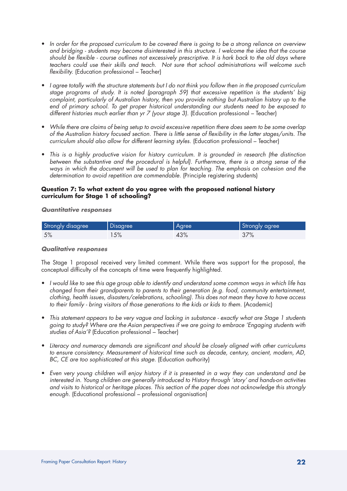- In order for the proposed curriculum to be covered there is going to be a strong reliance on overview *and bridging - students may become disinterested in this structure. I welcome the idea that the course should be flexible - course outlines not excessively prescriptive. It is hark back to the old days where teachers could use their skills and teach. Not sure that school administrations will welcome such flexibility.* (Education professional – Teacher)
- • *I agree totally with the structure statements but I do not think you follow then in the proposed curriculum stage programs of study. It is noted (paragraph 59) that excessive repetition is the students' big complaint, particularly of Australian history, then you provide nothing but Australian history up to the end of primary school. To get proper historical understanding our students need to be exposed to*  different histories much earlier than yr 7 (your stage 3). (Education professional - Teacher)
- • *While there are claims of being setup to avoid excessive repetition there does seem to be some overlap of the Australian history focused section. There is little sense of flexibility in the latter stages/units. The curriculum should also allow for different learning styles.* (Education professional – Teacher)
- • *This is a highly productive vision for history curriculum. It is grounded in research (the distinction between the substantive and the procedural is helpful). Furthermore, there is a strong sense of the ways in which the document will be used to plan for teaching. The emphasis on cohesion and the determination to avoid repetition are commendable.* (Principle registering students)

# **Question 7: To what extent do you agree with the proposed national history curriculum for Stage 1 of schooling?**

*Quantitative responses*

| Strongly disagree | Disagree | Agree | Strongly agree |
|-------------------|----------|-------|----------------|
| 5%                | 15%      | 43%   | 37%            |

#### *Qualitative responses*

The Stage 1 proposal received very limited comment. While there was support for the proposal, the conceptual difficulty of the concepts of time were frequently highlighted.

- • *I would like to see this age group able to identify and understand some common ways in which life has changed from their grandparents to parents to their generation (e.g. food, community entertainment, clothing, health issues, disasters/celebrations, schooling). This does not mean they have to have access*  to their family - bring visitors of those generations to the kids or kids to them. (Academic)
- • *This statement appears to be very vague and lacking in substance exactly what are Stage 1 students going to study? Where are the Asian perspectives if we are going to embrace 'Engaging students with studies of Asia'?* (Education professional – Teacher)
- • *Literacy and numeracy demands are significant and should be closely aligned with other curriculums to ensure consistency. Measurement of historical time such as decade, century, ancient, modern, AD, BC, CE are too sophisticated at this stage.* (Education authority)
- • *Even very young children will enjoy history if it is presented in a way they can understand and be interested in. Young children are generally introduced to History through 'story' and hands-on activities and visits to historical or heritage places. This section of the paper does not acknowledge this strongly enough.* (Educational professional – professional organisation)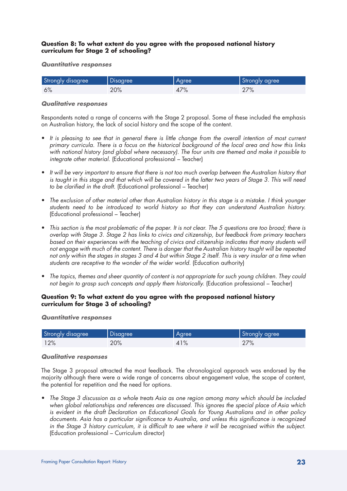# **Question 8: To what extent do you agree with the proposed national history curriculum for Stage 2 of schooling?**

*Quantitative responses*

| Strongly disagree | Disagree | Agree | Strongly agree |
|-------------------|----------|-------|----------------|
| 6%                | 20%      | 47%   | 27%            |

### *Qualitative responses*

Respondents noted a range of concerns with the Stage 2 proposal. Some of these included the emphasis on Australian history, the lack of social history and the scope of the content.

- It is pleasing to see that in general there is little change from the overall intention of most current *primary curricula. There is a focus on the historical background of the local area and how this links with national history (and global where necessary). The four units are themed and make it possible to integrate other material.* (Educational professional – Teacher)
- • *It will be very important to ensure that there is not too much overlap between the Australian history that is taught in this stage and that which will be covered in the latter two years of Stage 3. This will need to be clarified in the draft.* (Educational professional – Teacher)
- • *The exclusion of other material other than Australian history in this stage is a mistake. I think younger students need to be introduced to world history so that they can understand Australian history.* (Educational professional – Teacher)
- • *This section is the most problematic of the paper. It is not clear. The 5 questions are too broad; there is overlap with Stage 3. Stage 2 has links to civics and citizenship, but feedback from primary teachers based on their experiences with the teaching of civics and citizenship indicates that many students will not engage with much of the content. There is danger that the Australian history taught will be repeated not only within the stages in stages 3 and 4 but within Stage 2 itself. This is very insular at a time when students are receptive to the wonder of the wider world.* (Education authority)
- • *The topics, themes and sheer quantity of content is not appropriate for such young children. They could not begin to grasp such concepts and apply them historically.* (Education professional – Teacher)

# **Question 9: To what extent do you agree with the proposed national history curriculum for Stage 3 of schooling?**

*Quantitative responses*

| Strongly disagree | Disagree | Agree | Strongly agree |
|-------------------|----------|-------|----------------|
| 12%               | 20%      | 41%   | 27%            |

# *Qualitative responses*

The Stage 3 proposal attracted the most feedback. The chronological approach was endorsed by the majority although there were a wide range of concerns about engagement value, the scope of content, the potential for repetition and the need for options.

• The Stage 3 discussion as a whole treats Asia as one region among many which should be included *when global relationships and references are discussed. This ignores the special place of Asia which is evident in the draft Declaration on Educational Goals for Young Australians and in other policy documents. Asia has a particular significance to Australia, and unless this significance is recognized in the Stage 3 history curriculum, it is difficult to see where it will be recognised within the subject.*  (Education professional – Curriculum director)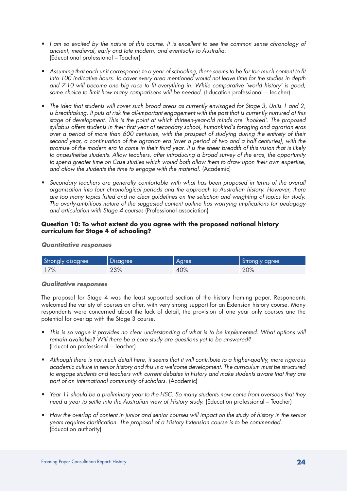- • *I am so excited by the nature of this course. It is excellent to see the common sense chronology of ancient, medieval, early and late modern, and eventually to Australia.*  (Educational professional – Teacher)
- • *Assuming that each unit corresponds to a year of schooling, there seems to be far too much content to fit into 100 indicative hours. To cover every area mentioned would not leave time for the studies in depth and 7-10 will become one big race to fit everything in. While comparative 'world history' is good,*  some choice to limit how many comparisons will be needed. (Education professional - Teacher)
- • *The idea that students will cover such broad areas as currently envisaged for Stage 3, Units 1 and 2, is breathtaking. It puts at risk the all-important engagement with the past that is currently nurtured at this stage of development. This is the point at which thirteen-year-old minds are 'hooked'. The proposed syllabus offers students in their first year at secondary school, humankind's foraging and agrarian eras over a period of more than 600 centuries, with the prospect of studying during the entirety of their second year, a continuation of the agrarian era (over a period of two and a half centuries), with the promise of the modern era to come in their third year. It is the sheer breadth of this vision that is likely to anaesthetise students. Allow teachers, after introducing a broad survey of the eras, the opportunity to spend greater time on Case studies which would both allow them to draw upon their own expertise, and allow the students the time to engage with the material.* (Academic)
- Secondary teachers are generally comfortable with what has been proposed in terms of the overall *organisation into four chronological periods and the approach to Australian history. However, there are too many topics listed and no clear guidelines on the selection and weighting of topics for study. The overly-ambitious nature of the suggested content outline has worrying implications for pedagogy and articulation with Stage 4 courses* (Professional association)

# **Question 10: To what extent do you agree with the proposed national history curriculum for Stage 4 of schooling?**

| Strongly disagree | Disagree | Agree | Strongly agree |
|-------------------|----------|-------|----------------|
| 17%               | 23%      | 40%   | 20%            |

# *Quantitative responses*

# *Qualitative responses*

The proposal for Stage 4 was the least supported section of the history framing paper. Respondents welcomed the variety of courses on offer, with very strong support for an Extension history course. Many respondents were concerned about the lack of detail, the provision of one year only courses and the potential for overlap with the Stage 3 course.

- This is so vague it provides no clear understanding of what is to be implemented. What options will *remain available? Will there be a core study are questions yet to be answered?*  (Education professional – Teacher)
- • *Although there is not much detail here, it seems that it will contribute to a higher-quality, more rigorous academic culture in senior history and this is a welcome development. The curriculum must be structured*  to engage students and teachers with current debates in history and make students aware that they are *part of an international community of scholars.* (Academic)
- • *Year 11 should be a preliminary year to the HSC. So many students now come from overseas that they need a year to settle into the Australian view of History study.* (Education professional – Teacher)
- • *How the overlap of content in junior and senior courses will impact on the study of history in the senior years requires clarification. The proposal of a History Extension course is to be commended.* (Education authority)